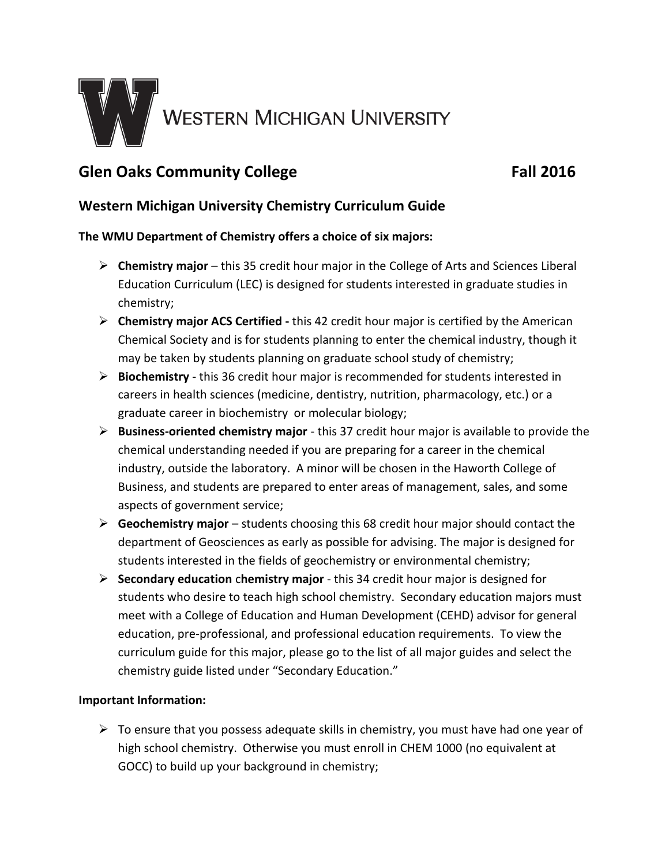

# **Glen Oaks Community College Fall 2016**

# **Western Michigan University Chemistry Curriculum Guide**

## **The WMU Department of Chemistry offers a choice of six majors:**

- **Chemistry major** this 35 credit hour major in the College of Arts and Sciences Liberal Education Curriculum (LEC) is designed for students interested in graduate studies in chemistry;
- **Chemistry major ACS Certified -** this 42 credit hour major is certified by the American Chemical Society and is for students planning to enter the chemical industry, though it may be taken by students planning on graduate school study of chemistry;
- **Biochemistry** this 36 credit hour major is recommended for students interested in careers in health sciences (medicine, dentistry, nutrition, pharmacology, etc.) or a graduate career in biochemistry or molecular biology;
- **Business-oriented chemistry major** this 37 credit hour major is available to provide the chemical understanding needed if you are preparing for a career in the chemical industry, outside the laboratory. A minor will be chosen in the Haworth College of Business, and students are prepared to enter areas of management, sales, and some aspects of government service;
- **Geochemistry major**  students choosing this 68 credit hour major should contact the department of Geosciences as early as possible for advising. The major is designed for students interested in the fields of geochemistry or environmental chemistry;
- **Secondary education** c**hemistry major** this 34 credit hour major is designed for students who desire to teach high school chemistry. Secondary education majors must meet with a College of Education and Human Development (CEHD) advisor for general education, pre-professional, and professional education requirements. To view the curriculum guide for this major, please go to the list of all major guides and select the chemistry guide listed under "Secondary Education."

## **Important Information:**

 $\triangleright$  To ensure that you possess adequate skills in chemistry, you must have had one year of high school chemistry. Otherwise you must enroll in CHEM 1000 (no equivalent at GOCC) to build up your background in chemistry;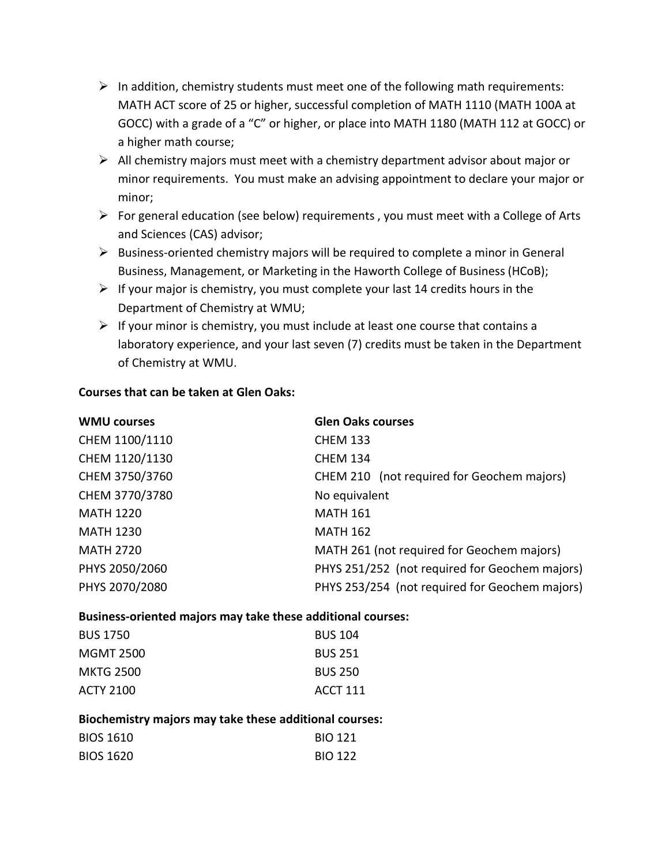- $\triangleright$  In addition, chemistry students must meet one of the following math requirements: MATH ACT score of 25 or higher, successful completion of MATH 1110 (MATH 100A at GOCC) with a grade of a "C" or higher, or place into MATH 1180 (MATH 112 at GOCC) or a higher math course;
- $\triangleright$  All chemistry majors must meet with a chemistry department advisor about major or minor requirements. You must make an advising appointment to declare your major or minor;
- $\triangleright$  For general education (see below) requirements, you must meet with a College of Arts and Sciences (CAS) advisor;
- $\triangleright$  Business-oriented chemistry majors will be required to complete a minor in General Business, Management, or Marketing in the Haworth College of Business (HCoB);
- $\triangleright$  If your major is chemistry, you must complete your last 14 credits hours in the Department of Chemistry at WMU;
- $\triangleright$  If your minor is chemistry, you must include at least one course that contains a laboratory experience, and your last seven (7) credits must be taken in the Department of Chemistry at WMU.

#### **Courses that can be taken at Glen Oaks:**

| <b>WMU courses</b> | <b>Glen Oaks courses</b>                       |
|--------------------|------------------------------------------------|
| CHEM 1100/1110     | <b>CHEM 133</b>                                |
| CHEM 1120/1130     | <b>CHEM 134</b>                                |
| CHEM 3750/3760     | CHEM 210 (not required for Geochem majors)     |
| CHEM 3770/3780     | No equivalent                                  |
| <b>MATH 1220</b>   | <b>MATH 161</b>                                |
| <b>MATH 1230</b>   | <b>MATH 162</b>                                |
| <b>MATH 2720</b>   | MATH 261 (not required for Geochem majors)     |
| PHYS 2050/2060     | PHYS 251/252 (not required for Geochem majors) |
| PHYS 2070/2080     | PHYS 253/254 (not required for Geochem majors) |
|                    |                                                |

#### **Business-oriented majors may take these additional courses:**

| <b>BUS 1750</b>  | <b>BUS 104</b>  |
|------------------|-----------------|
| <b>MGMT 2500</b> | <b>BUS 251</b>  |
| <b>MKTG 2500</b> | <b>BUS 250</b>  |
| ACTY 2100        | <b>ACCT 111</b> |

#### **Biochemistry majors may take these additional courses:**

| <b>BIOS 1610</b> | <b>BIO 121</b> |
|------------------|----------------|
| <b>BIOS 1620</b> | <b>BIO 122</b> |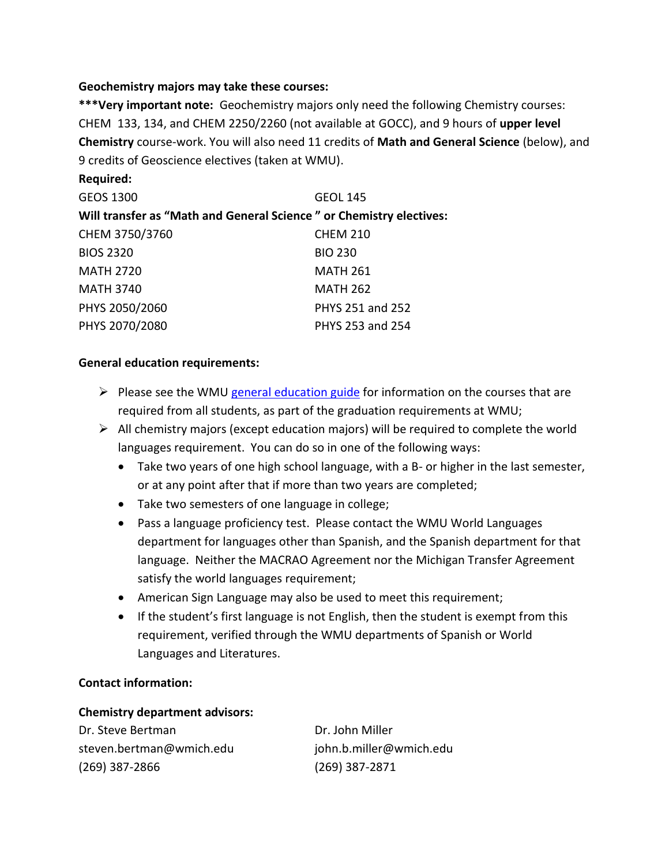#### **Geochemistry majors may take these courses:**

**\*\*\*Very important note:** Geochemistry majors only need the following Chemistry courses: CHEM 133, 134, and CHEM 2250/2260 (not available at GOCC), and 9 hours of **upper level Chemistry** course-work. You will also need 11 credits of **Math and General Science** (below), and 9 credits of Geoscience electives (taken at WMU).

| <b>GEOS 1300</b>                                                    | <b>GEOL 145</b>  |
|---------------------------------------------------------------------|------------------|
| Will transfer as "Math and General Science" or Chemistry electives: |                  |
| CHEM 3750/3760                                                      | <b>CHEM 210</b>  |
| <b>BIOS 2320</b>                                                    | <b>BIO 230</b>   |
| <b>MATH 2720</b>                                                    | <b>MATH 261</b>  |
| <b>MATH 3740</b>                                                    | <b>MATH 262</b>  |
| PHYS 2050/2060                                                      | PHYS 251 and 252 |
| PHYS 2070/2080                                                      | PHYS 253 and 254 |

## **General education requirements:**

**Required:**

- $\triangleright$  Please see the WMU [general education guide](http://www.wmich.edu/admissions/transfer/guides/GOCC/gened) for information on the courses that are required from all students, as part of the graduation requirements at WMU;
- $\triangleright$  All chemistry majors (except education majors) will be required to complete the world languages requirement. You can do so in one of the following ways:
	- Take two years of one high school language, with a B- or higher in the last semester, or at any point after that if more than two years are completed;
	- Take two semesters of one language in college;
	- Pass a language proficiency test. Please contact the WMU World Languages department for languages other than Spanish, and the Spanish department for that language. Neither the MACRAO Agreement nor the Michigan Transfer Agreement satisfy the world languages requirement;
	- American Sign Language may also be used to meet this requirement;
	- If the student's first language is not English, then the student is exempt from this requirement, verified through the WMU departments of Spanish or World Languages and Literatures.

## **Contact information:**

#### **Chemistry department advisors:**

Dr. Steve Bertman Dr. John Miller steven.bertman@wmich.edu john.b.miller@wmich.edu (269) 387-2866 (269) 387-2871